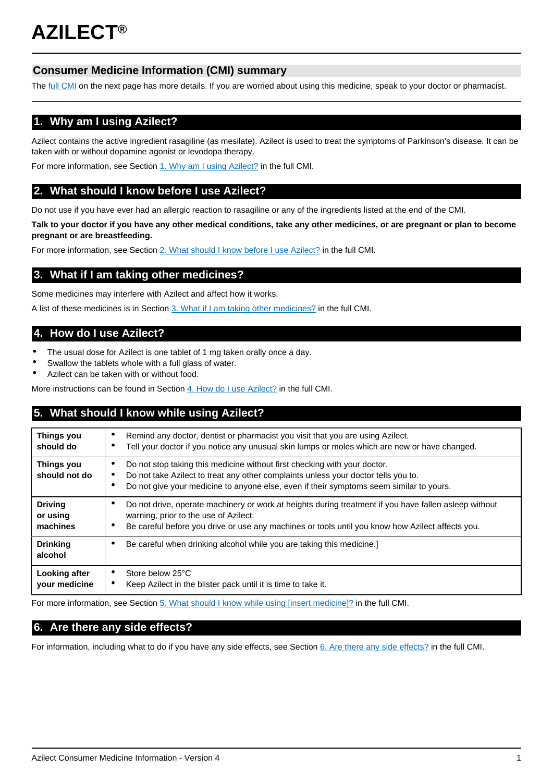# **Consumer Medicine Information (CMI) summary**

The [full CMI](#page-1-0) on the next page has more details. If you are worried about using this medicine, speak to your doctor or pharmacist.

# **1. Why am I using Azilect?**

Azilect contains the active ingredient rasagiline (as mesilate). Azilect is used to treat the symptoms of Parkinson's disease. It can be taken with or without dopamine agonist or levodopa therapy.

For more information, see Section [1. Why am I using Azilect?](#page-1-1) in the full CMI.

# **2. What should I know before I use Azilect?**

Do not use if you have ever had an allergic reaction to rasagiline or any of the ingredients listed at the end of the CMI.

**Talk to your doctor if you have any other medical conditions, take any other medicines, or are pregnant or plan to become pregnant or are breastfeeding.**

For more information, see Section [2. What should I know before I use Azilect?](#page-1-2) in the full CMI.

# **3. What if I am taking other medicines?**

Some medicines may interfere with Azilect and affect how it works.

A list of these medicines is in Section [3. What if I am taking other medicines?](#page-1-3) in the full CMI.

# **4. How do I use Azilect?**

- The usual dose for Azilect is one tablet of 1 mg taken orally once a day.
- Swallow the tablets whole with a full glass of water.
- Azilect can be taken with or without food.

More instructions can be found in Section [4. How do I use Azilect?](#page-2-0) in the full CMI.

# **5. What should I know while using Azilect?**

| Things you<br>should do                | Remind any doctor, dentist or pharmacist you visit that you are using Azilect.<br>٠<br>Tell your doctor if you notice any unusual skin lumps or moles which are new or have changed.                                                                                              |  |
|----------------------------------------|-----------------------------------------------------------------------------------------------------------------------------------------------------------------------------------------------------------------------------------------------------------------------------------|--|
| Things you<br>should not do            | Do not stop taking this medicine without first checking with your doctor.<br>٠<br>Do not take Azilect to treat any other complaints unless your doctor tells you to.<br>$\bullet$<br>Do not give your medicine to anyone else, even if their symptoms seem similar to yours.<br>٠ |  |
| <b>Driving</b><br>or using<br>machines | Do not drive, operate machinery or work at heights during treatment if you have fallen asleep without<br>٠<br>warning, prior to the use of Azilect.<br>Be careful before you drive or use any machines or tools until you know how Azilect affects you.<br>٠                      |  |
| <b>Drinking</b><br>alcohol             | Be careful when drinking alcohol while you are taking this medicine.]                                                                                                                                                                                                             |  |
| Looking after<br>your medicine         | Store below 25°C<br>٠<br>Keep Azilect in the blister pack until it is time to take it.<br>٠                                                                                                                                                                                       |  |

For more information, see Section [5. What should I know while using \[insert medicine\]?](#page-2-1) in the full CMI.

## **6. Are there any side effects?**

For information, including what to do if you have any side effects, see Section [6. Are there any side effects?](#page-3-0) in the full CMI.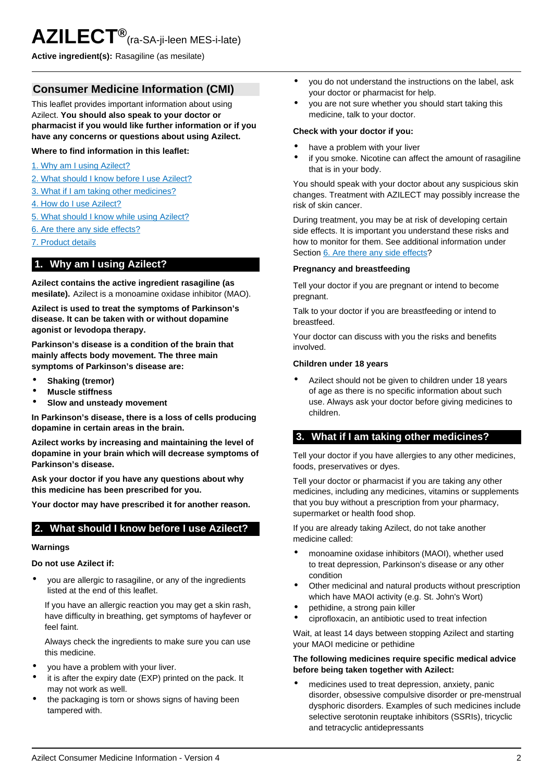<span id="page-1-0"></span>**Active ingredient(s):** Rasagiline (as mesilate)

## **Consumer Medicine Information (CMI)**

This leaflet provides important information about using Azilect. **You should also speak to your doctor or pharmacist if you would like further information or if you have any concerns or questions about using Azilect.**

### **Where to find information in this leaflet:**

- [1. Why am I using Azilect?](#page-1-1)
- [2. What should I know before I use Azilect?](#page-1-2)
- [3. What if I am taking other medicines?](#page-1-3)
- [4. How do I use Azilect?](#page-2-0)
- [5. What should I know while using Azilect?](#page-2-1)
- [6. Are there any side effects?](#page-3-0)
- [7. Product details](#page-3-1)

## <span id="page-1-1"></span>**1. Why am I using Azilect?**

**Azilect contains the active ingredient rasagiline (as mesilate).** Azilect is a monoamine oxidase inhibitor (MAO).

**Azilect is used to treat the symptoms of Parkinson's disease. It can be taken with or without dopamine agonist or levodopa therapy.**

**Parkinson's disease is a condition of the brain that mainly affects body movement. The three main symptoms of Parkinson's disease are:**

- **Shaking (tremor)**
- **Muscle stiffness**
- **Slow and unsteady movement**

**In Parkinson's disease, there is a loss of cells producing dopamine in certain areas in the brain.**

**Azilect works by increasing and maintaining the level of dopamine in your brain which will decrease symptoms of Parkinson's disease.**

**Ask your doctor if you have any questions about why this medicine has been prescribed for you.**

**Your doctor may have prescribed it for another reason.**

## <span id="page-1-2"></span>**2. What should I know before I use Azilect?**

#### **Warnings**

### **Do not use Azilect if:**

• you are allergic to rasagiline, or any of the ingredients listed at the end of this leaflet.

If you have an allergic reaction you may get a skin rash, have difficulty in breathing, get symptoms of hayfever or feel faint.

Always check the ingredients to make sure you can use this medicine.

- you have a problem with your liver.
- it is after the expiry date (EXP) printed on the pack. It may not work as well.
- the packaging is torn or shows signs of having been tampered with.
- you do not understand the instructions on the label, ask your doctor or pharmacist for help.
- you are not sure whether you should start taking this medicine, talk to your doctor.

#### **Check with your doctor if you:**

- have a problem with your liver
- if you smoke. Nicotine can affect the amount of rasagiline that is in your body.

You should speak with your doctor about any suspicious skin changes. Treatment with AZILECT may possibly increase the risk of skin cancer.

During treatment, you may be at risk of developing certain side effects. It is important you understand these risks and how to monitor for them. See additional information under Section [6. Are there any side effects](#page-3-0)?

### **Pregnancy and breastfeeding**

Tell your doctor if you are pregnant or intend to become pregnant.

Talk to your doctor if you are breastfeeding or intend to breastfeed.

Your doctor can discuss with you the risks and benefits involved.

#### **Children under 18 years**

Azilect should not be given to children under 18 years of age as there is no specific information about such use. Always ask your doctor before giving medicines to children.

## <span id="page-1-3"></span>**3. What if I am taking other medicines?**

Tell your doctor if you have allergies to any other medicines, foods, preservatives or dyes.

Tell your doctor or pharmacist if you are taking any other medicines, including any medicines, vitamins or supplements that you buy without a prescription from your pharmacy, supermarket or health food shop.

If you are already taking Azilect, do not take another medicine called:

- monoamine oxidase inhibitors (MAOI), whether used to treat depression, Parkinson's disease or any other condition
- Other medicinal and natural products without prescription which have MAOI activity (e.g. St. John's Wort)
- pethidine, a strong pain killer
- ciprofloxacin, an antibiotic used to treat infection

Wait, at least 14 days between stopping Azilect and starting your MAOI medicine or pethidine

### **The following medicines require specific medical advice before being taken together with Azilect:**

medicines used to treat depression, anxiety, panic disorder, obsessive compulsive disorder or pre-menstrual dysphoric disorders. Examples of such medicines include selective serotonin reuptake inhibitors (SSRIs), tricyclic and tetracyclic antidepressants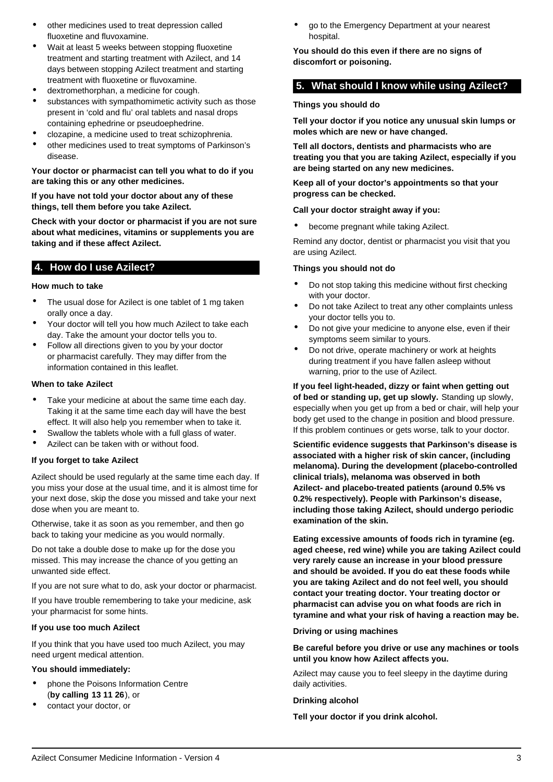- other medicines used to treat depression called fluoxetine and fluvoxamine.
- Wait at least 5 weeks between stopping fluoxetine treatment and starting treatment with Azilect, and 14 days between stopping Azilect treatment and starting treatment with fluoxetine or fluvoxamine.
- dextromethorphan, a medicine for cough.
- substances with sympathomimetic activity such as those present in 'cold and flu' oral tablets and nasal drops containing ephedrine or pseudoephedrine.
- clozapine, a medicine used to treat schizophrenia.
- other medicines used to treat symptoms of Parkinson's disease.

### **Your doctor or pharmacist can tell you what to do if you are taking this or any other medicines.**

#### **If you have not told your doctor about any of these things, tell them before you take Azilect.**

**Check with your doctor or pharmacist if you are not sure about what medicines, vitamins or supplements you are taking and if these affect Azilect.**

## <span id="page-2-0"></span>**4. How do I use Azilect?**

### **How much to take**

- The usual dose for Azilect is one tablet of 1 mg taken orally once a day.
- Your doctor will tell you how much Azilect to take each day. Take the amount your doctor tells you to.
- Follow all directions given to you by your doctor or pharmacist carefully. They may differ from the information contained in this leaflet.

### **When to take Azilect**

- Take your medicine at about the same time each day. Taking it at the same time each day will have the best effect. It will also help you remember when to take it.
- Swallow the tablets whole with a full glass of water.
- Azilect can be taken with or without food.

### **If you forget to take Azilect**

Azilect should be used regularly at the same time each day. If you miss your dose at the usual time, and it is almost time for your next dose, skip the dose you missed and take your next dose when you are meant to.

Otherwise, take it as soon as you remember, and then go back to taking your medicine as you would normally.

Do not take a double dose to make up for the dose you missed. This may increase the chance of you getting an unwanted side effect.

If you are not sure what to do, ask your doctor or pharmacist.

If you have trouble remembering to take your medicine, ask your pharmacist for some hints.

### **If you use too much Azilect**

If you think that you have used too much Azilect, you may need urgent medical attention.

### **You should immediately:**

- phone the Poisons Information Centre (**by calling 13 11 26**), or
- contact your doctor, or

• go to the Emergency Department at your nearest hospital.

**You should do this even if there are no signs of discomfort or poisoning.**

### <span id="page-2-1"></span>**5. What should I know while using Azilect?**

#### **Things you should do**

**Tell your doctor if you notice any unusual skin lumps or moles which are new or have changed.**

**Tell all doctors, dentists and pharmacists who are treating you that you are taking Azilect, especially if you are being started on any new medicines.**

**Keep all of your doctor's appointments so that your progress can be checked.**

#### **Call your doctor straight away if you:**

become pregnant while taking Azilect.

Remind any doctor, dentist or pharmacist you visit that you are using Azilect.

### **Things you should not do**

- Do not stop taking this medicine without first checking with your doctor.
- Do not take Azilect to treat any other complaints unless your doctor tells you to.
- Do not give your medicine to anyone else, even if their symptoms seem similar to yours.
- Do not drive, operate machinery or work at heights during treatment if you have fallen asleep without warning, prior to the use of Azilect.

**If you feel light-headed, dizzy or faint when getting out of bed or standing up, get up slowly.** Standing up slowly, especially when you get up from a bed or chair, will help your body get used to the change in position and blood pressure. If this problem continues or gets worse, talk to your doctor.

**Scientific evidence suggests that Parkinson's disease is associated with a higher risk of skin cancer, (including melanoma). During the development (placebo-controlled clinical trials), melanoma was observed in both Azilect- and placebo-treated patients (around 0.5% vs 0.2% respectively). People with Parkinson's disease, including those taking Azilect, should undergo periodic examination of the skin.**

**Eating excessive amounts of foods rich in tyramine (eg. aged cheese, red wine) while you are taking Azilect could very rarely cause an increase in your blood pressure and should be avoided. If you do eat these foods while you are taking Azilect and do not feel well, you should contact your treating doctor. Your treating doctor or pharmacist can advise you on what foods are rich in tyramine and what your risk of having a reaction may be.**

#### **Driving or using machines**

**Be careful before you drive or use any machines or tools until you know how Azilect affects you.**

Azilect may cause you to feel sleepy in the daytime during daily activities.

#### **Drinking alcohol**

**Tell your doctor if you drink alcohol.**